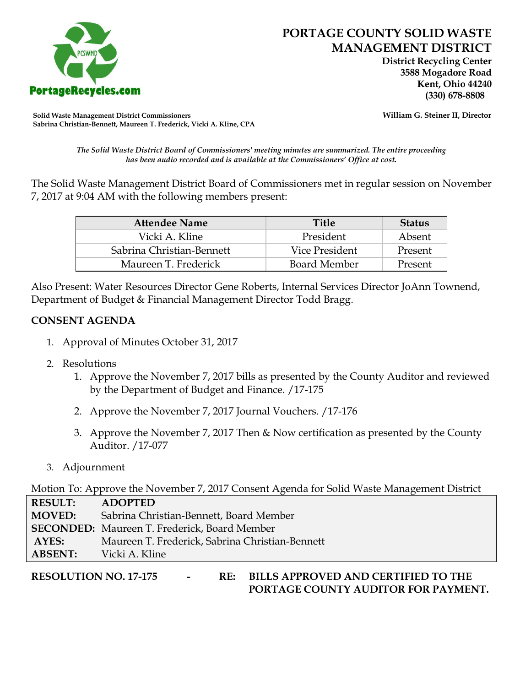

 **District Recycling Center 3588 Mogadore Road Kent, Ohio 44240**

**Solid Waste Management District Commissioners William G. Steiner II, Director Sabrina Christian-Bennett, Maureen T. Frederick, Vicki A. Kline, CPA**

*The Solid Waste District Board of Commissioners' meeting minutes are summarized. The entire proceeding has been audio recorded and is available at the Commissioners' Office at cost.*

The Solid Waste Management District Board of Commissioners met in regular session on November 7, 2017 at 9:04 AM with the following members present:

| <b>Attendee Name</b>      | <b>Title</b>   | <b>Status</b> |
|---------------------------|----------------|---------------|
| Vicki A. Kline            | President      | Absent        |
| Sabrina Christian-Bennett | Vice President | Present       |
| Maureen T. Frederick      | Board Member   | Present       |

Also Present: Water Resources Director Gene Roberts, Internal Services Director JoAnn Townend, Department of Budget & Financial Management Director Todd Bragg.

## **CONSENT AGENDA**

- 1. Approval of Minutes October 31, 2017
- 2. Resolutions
	- 1. Approve the November 7, 2017 bills as presented by the County Auditor and reviewed by the Department of Budget and Finance. /17-175
	- 2. Approve the November 7, 2017 Journal Vouchers. /17-176
	- 3. Approve the November 7, 2017 Then & Now certification as presented by the County Auditor. /17-077
- 3. Adjournment

Motion To: Approve the November 7, 2017 Consent Agenda for Solid Waste Management District

**RESULT: ADOPTED MOVED:** Sabrina Christian-Bennett, Board Member **SECONDED:** Maureen T. Frederick, Board Member **AYES:** Maureen T. Frederick, Sabrina Christian-Bennett **ABSENT:** Vicki A. Kline

**RESOLUTION NO. 17-175 - RE: BILLS APPROVED AND CERTIFIED TO THE PORTAGE COUNTY AUDITOR FOR PAYMENT.**